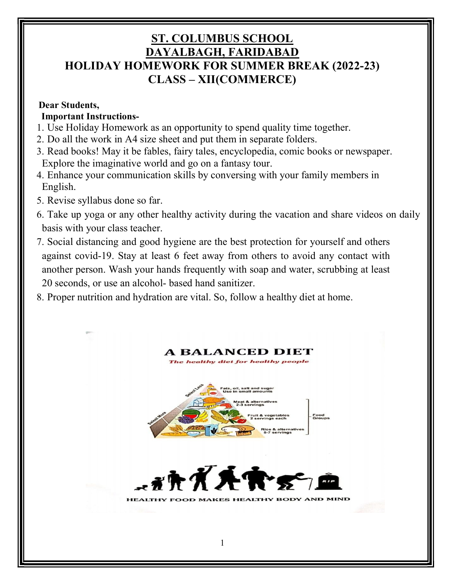# ST. COLUMBUS SCHOOL DAYALBAGH, FARIDABAD HOLIDAY HOMEWORK FOR SUMMER BREAK (2022-23) CLASS – XII(COMMERCE)

### Dear Students,

# Important Instructions-

- 1. Use Holiday Homework as an opportunity to spend quality time together.
- 2. Do all the work in A4 size sheet and put them in separate folders.
- 3. Read books! May it be fables, fairy tales, encyclopedia, comic books or newspaper. Explore the imaginative world and go on a fantasy tour.
- 4. Enhance your communication skills by conversing with your family members in English.
- 5. Revise syllabus done so far.
- 6. Take up yoga or any other healthy activity during the vacation and share videos on daily basis with your class teacher.
- 7. Social distancing and good hygiene are the best protection for yourself and others against covid-19. Stay at least 6 feet away from others to avoid any contact with another person. Wash your hands frequently with soap and water, scrubbing at least 20 seconds, or use an alcohol- based hand sanitizer.
- 8. Proper nutrition and hydration are vital. So, follow a healthy diet at home.

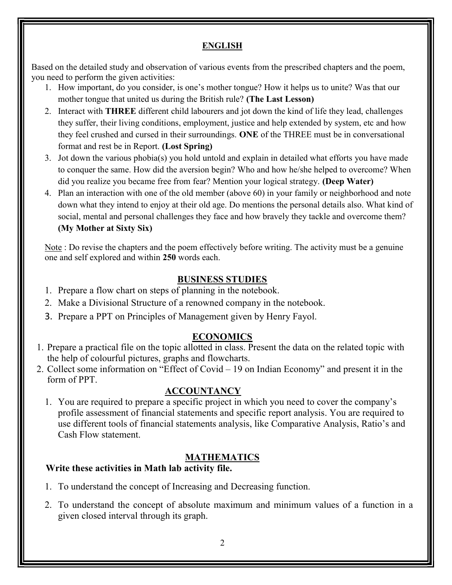### ENGLISH

Based on the detailed study and observation of various events from the prescribed chapters and the poem, you need to perform the given activities:

- 1. How important, do you consider, is one's mother tongue? How it helps us to unite? Was that our mother tongue that united us during the British rule? (The Last Lesson)
- 2. Interact with **THREE** different child labourers and jot down the kind of life they lead, challenges they suffer, their living conditions, employment, justice and help extended by system, etc and how they feel crushed and cursed in their surroundings. ONE of the THREE must be in conversational format and rest be in Report. (Lost Spring)
- 3. Jot down the various phobia(s) you hold untold and explain in detailed what efforts you have made to conquer the same. How did the aversion begin? Who and how he/she helped to overcome? When did you realize you became free from fear? Mention your logical strategy. (Deep Water)
- 4. Plan an interaction with one of the old member (above 60) in your family or neighborhood and note down what they intend to enjoy at their old age. Do mentions the personal details also. What kind of social, mental and personal challenges they face and how bravely they tackle and overcome them? (My Mother at Sixty Six)

Note : Do revise the chapters and the poem effectively before writing. The activity must be a genuine one and self explored and within 250 words each.

# BUSINESS STUDIES

- 1. Prepare a flow chart on steps of planning in the notebook.
- 2. Make a Divisional Structure of a renowned company in the notebook.
- 3. Prepare a PPT on Principles of Management given by Henry Fayol.

# ECONOMICS

- 1. Prepare a practical file on the topic allotted in class. Present the data on the related topic with the help of colourful pictures, graphs and flowcharts.
- 2. Collect some information on "Effect of Covid 19 on Indian Economy" and present it in the form of PPT.

# **ACCOUNTANCY**

1. You are required to prepare a specific project in which you need to cover the company's profile assessment of financial statements and specific report analysis. You are required to use different tools of financial statements analysis, like Comparative Analysis, Ratio's and Cash Flow statement.

# **MATHEMATICS**

# Write these activities in Math lab activity file.

- 1. To understand the concept of Increasing and Decreasing function.
- 2. To understand the concept of absolute maximum and minimum values of a function in a given closed interval through its graph.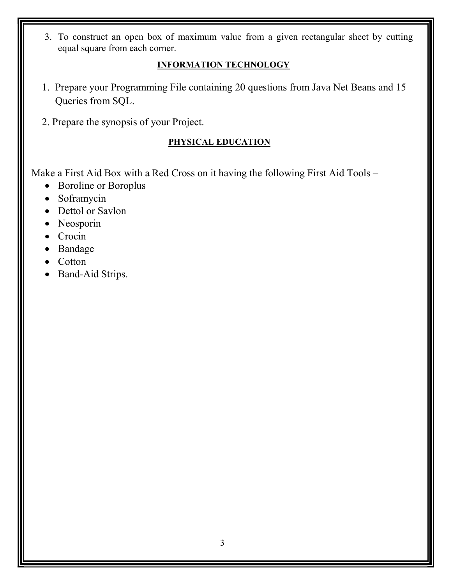3. To construct an open box of maximum value from a given rectangular sheet by cutting equal square from each corner.

# INFORMATION TECHNOLOGY

- 1. Prepare your Programming File containing 20 questions from Java Net Beans and 15 Queries from SQL.
- 2. Prepare the synopsis of your Project.

# PHYSICAL EDUCATION

Make a First Aid Box with a Red Cross on it having the following First Aid Tools –

- Boroline or Boroplus
- Soframycin
- Dettol or Savlon
- Neosporin
- Crocin
- Bandage
- Cotton
- Band-Aid Strips.